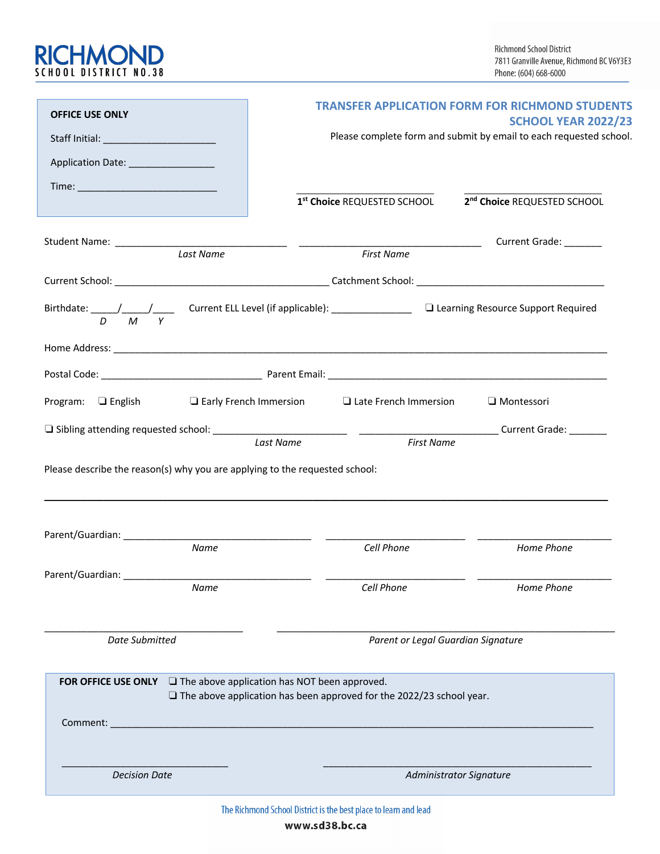

| <b>OFFICE USE ONLY</b>                                                                    | <b>TRANSFER APPLICATION FORM FOR RICHMOND STUDENTS</b>                                                                             |                                         |
|-------------------------------------------------------------------------------------------|------------------------------------------------------------------------------------------------------------------------------------|-----------------------------------------|
|                                                                                           | <b>SCHOOL YEAR 2022/23</b><br>Please complete form and submit by email to each requested school.                                   |                                         |
| Application Date: _________________                                                       |                                                                                                                                    |                                         |
|                                                                                           |                                                                                                                                    |                                         |
|                                                                                           | 1st Choice REQUESTED SCHOOL                                                                                                        | 2 <sup>nd</sup> Choice REQUESTED SCHOOL |
|                                                                                           |                                                                                                                                    |                                         |
| Last Name                                                                                 | <b>First Name</b>                                                                                                                  |                                         |
|                                                                                           |                                                                                                                                    |                                         |
| $D$ $M$ $Y$                                                                               |                                                                                                                                    |                                         |
|                                                                                           |                                                                                                                                    |                                         |
|                                                                                           |                                                                                                                                    |                                         |
| <b>Program:</b> $\Box$ English $\Box$ Early French Immersion $\Box$ Late French Immersion |                                                                                                                                    | $\Box$ Montessori                       |
|                                                                                           | <b>First Name</b><br>Last Name                                                                                                     |                                         |
| Please describe the reason(s) why you are applying to the requested school:               |                                                                                                                                    |                                         |
| Name                                                                                      | Cell Phone                                                                                                                         | Home Phone                              |
|                                                                                           |                                                                                                                                    |                                         |
| Name                                                                                      | Cell Phone                                                                                                                         | Home Phone                              |
| <b>Date Submitted</b>                                                                     | Parent or Legal Guardian Signature                                                                                                 |                                         |
| <b>FOR OFFICE USE ONLY</b>                                                                | $\Box$ The above application has NOT been approved.<br>$\Box$ The above application has been approved for the 2022/23 school year. |                                         |
| Comment:<br><u> 1989 - Jan James James Barnett, fransk politik (d. 1989)</u>              |                                                                                                                                    |                                         |
| <b>Decision Date</b>                                                                      | Administrator Signature                                                                                                            |                                         |